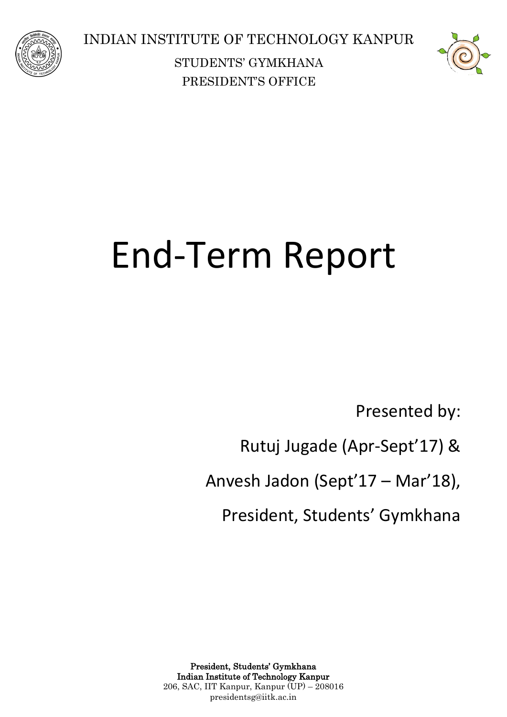



# End-Term Report

Presented by:

Rutuj Jugade (Apr-Sept'17) &

Anvesh Jadon (Sept'17 – Mar'18),

President, Students' Gymkhana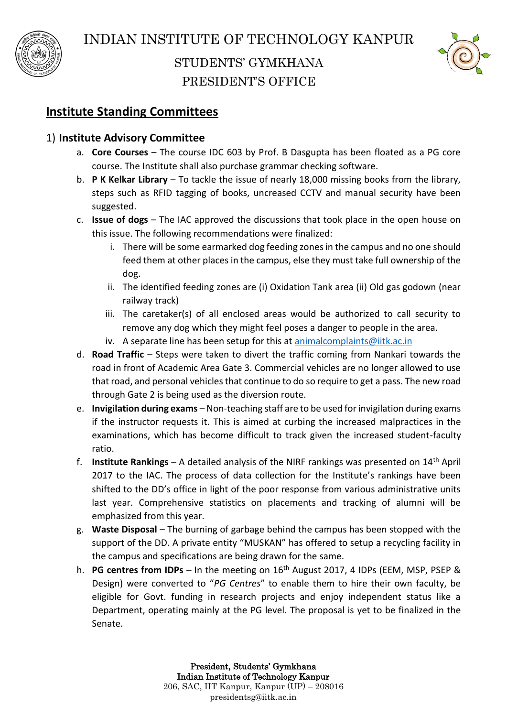



## **Institute Standing Committees**

#### 1) **Institute Advisory Committee**

- a. **Core Courses** The course IDC 603 by Prof. B Dasgupta has been floated as a PG core course. The Institute shall also purchase grammar checking software.
- b. **P K Kelkar Library** To tackle the issue of nearly 18,000 missing books from the library, steps such as RFID tagging of books, uncreased CCTV and manual security have been suggested.
- c. **Issue of dogs** The IAC approved the discussions that took place in the open house on this issue. The following recommendations were finalized:
	- i. There will be some earmarked dog feeding zones in the campus and no one should feed them at other places in the campus, else they must take full ownership of the dog.
	- ii. The identified feeding zones are (i) Oxidation Tank area (ii) Old gas godown (near railway track)
	- iii. The caretaker(s) of all enclosed areas would be authorized to call security to remove any dog which they might feel poses a danger to people in the area.
	- iv. A separate line has been setup for this at animalcomplaints  $\omega$ iitk.ac.in
- d. **Road Traffic** Steps were taken to divert the traffic coming from Nankari towards the road in front of Academic Area Gate 3. Commercial vehicles are no longer allowed to use that road, and personal vehicles that continue to do so require to get a pass. The new road through Gate 2 is being used as the diversion route.
- e. **Invigilation during exams** Non-teaching staff are to be used for invigilation during exams if the instructor requests it. This is aimed at curbing the increased malpractices in the examinations, which has become difficult to track given the increased student-faculty ratio.
- f. **Institute Rankings** A detailed analysis of the NIRF rankings was presented on 14th April 2017 to the IAC. The process of data collection for the Institute's rankings have been shifted to the DD's office in light of the poor response from various administrative units last year. Comprehensive statistics on placements and tracking of alumni will be emphasized from this year.
- g. **Waste Disposal** The burning of garbage behind the campus has been stopped with the support of the DD. A private entity "MUSKAN" has offered to setup a recycling facility in the campus and specifications are being drawn for the same.
- h. **PG centres from IDPs** In the meeting on 16<sup>th</sup> August 2017, 4 IDPs (EEM, MSP, PSEP & Design) were converted to "*PG Centres*" to enable them to hire their own faculty, be eligible for Govt. funding in research projects and enjoy independent status like a Department, operating mainly at the PG level. The proposal is yet to be finalized in the Senate.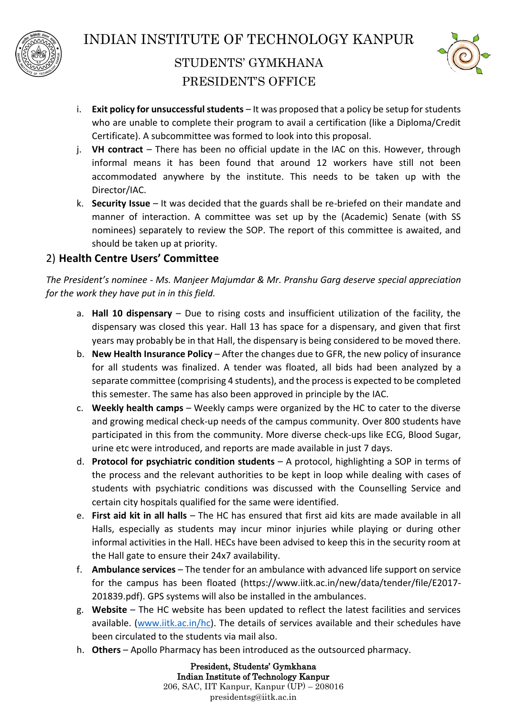



- i. **Exit policy for unsuccessful students** It was proposed that a policy be setup for students who are unable to complete their program to avail a certification (like a Diploma/Credit Certificate). A subcommittee was formed to look into this proposal.
- j. **VH contract** There has been no official update in the IAC on this. However, through informal means it has been found that around 12 workers have still not been accommodated anywhere by the institute. This needs to be taken up with the Director/IAC.
- k. **Security Issue** It was decided that the guards shall be re-briefed on their mandate and manner of interaction. A committee was set up by the (Academic) Senate (with SS nominees) separately to review the SOP. The report of this committee is awaited, and should be taken up at priority.

#### 2) **Health Centre Users' Committee**

*The President's nominee - Ms. Manjeer Majumdar & Mr. Pranshu Garg deserve special appreciation for the work they have put in in this field.*

- a. **Hall 10 dispensary** Due to rising costs and insufficient utilization of the facility, the dispensary was closed this year. Hall 13 has space for a dispensary, and given that first years may probably be in that Hall, the dispensary is being considered to be moved there.
- b. **New Health Insurance Policy** After the changes due to GFR, the new policy of insurance for all students was finalized. A tender was floated, all bids had been analyzed by a separate committee (comprising 4 students), and the process is expected to be completed this semester. The same has also been approved in principle by the IAC.
- c. **Weekly health camps** Weekly camps were organized by the HC to cater to the diverse and growing medical check-up needs of the campus community. Over 800 students have participated in this from the community. More diverse check-ups like ECG, Blood Sugar, urine etc were introduced, and reports are made available in just 7 days.
- d. **Protocol for psychiatric condition students** A protocol, highlighting a SOP in terms of the process and the relevant authorities to be kept in loop while dealing with cases of students with psychiatric conditions was discussed with the Counselling Service and certain city hospitals qualified for the same were identified.
- e. **First aid kit in all halls** The HC has ensured that first aid kits are made available in all Halls, especially as students may incur minor injuries while playing or during other informal activities in the Hall. HECs have been advised to keep this in the security room at the Hall gate to ensure their 24x7 availability.
- f. **Ambulance services** The tender for an ambulance with advanced life support on service for the campus has been floated (https://www.iitk.ac.in/new/data/tender/file/E2017- 201839.pdf). GPS systems will also be installed in the ambulances.
- g. **Website** The HC website has been updated to reflect the latest facilities and services available. [\(www.iitk.ac.in/hc\)](http://www.iitk.ac.in/hc). The details of services available and their schedules have been circulated to the students via mail also.
- h. **Others** Apollo Pharmacy has been introduced as the outsourced pharmacy.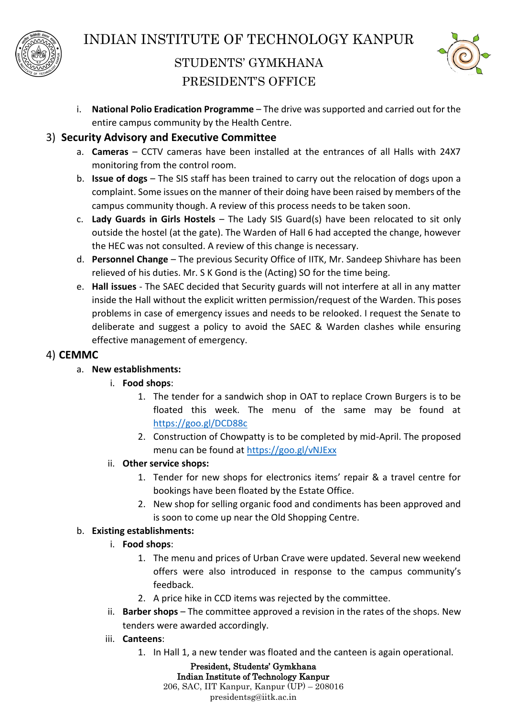



i. **National Polio Eradication Programme** – The drive was supported and carried out for the entire campus community by the Health Centre.

#### 3) **Security Advisory and Executive Committee**

- a. **Cameras** CCTV cameras have been installed at the entrances of all Halls with 24X7 monitoring from the control room.
- b. **Issue of dogs** The SIS staff has been trained to carry out the relocation of dogs upon a complaint. Some issues on the manner of their doing have been raised by members of the campus community though. A review of this process needs to be taken soon.
- c. **Lady Guards in Girls Hostels** The Lady SIS Guard(s) have been relocated to sit only outside the hostel (at the gate). The Warden of Hall 6 had accepted the change, however the HEC was not consulted. A review of this change is necessary.
- d. **Personnel Change** The previous Security Office of IITK, Mr. Sandeep Shivhare has been relieved of his duties. Mr. S K Gond is the (Acting) SO for the time being.
- e. **Hall issues** The SAEC decided that Security guards will not interfere at all in any matter inside the Hall without the explicit written permission/request of the Warden. This poses problems in case of emergency issues and needs to be relooked. I request the Senate to deliberate and suggest a policy to avoid the SAEC & Warden clashes while ensuring effective management of emergency.

#### 4) **CEMMC**

a. **New establishments:** 

#### i. **Food shops**:

- 1. The tender for a sandwich shop in OAT to replace Crown Burgers is to be floated this week. The menu of the same may be found at <https://goo.gl/DCD88c>
- 2. Construction of Chowpatty is to be completed by mid-April. The proposed menu can be found at<https://goo.gl/vNJExx>
- ii. **Other service shops:**
	- 1. Tender for new shops for electronics items' repair & a travel centre for bookings have been floated by the Estate Office.
	- 2. New shop for selling organic food and condiments has been approved and is soon to come up near the Old Shopping Centre.

#### b. **Existing establishments:**

#### i. **Food shops**:

- 1. The menu and prices of Urban Crave were updated. Several new weekend offers were also introduced in response to the campus community's feedback.
- 2. A price hike in CCD items was rejected by the committee.
- ii. **Barber shops** The committee approved a revision in the rates of the shops. New tenders were awarded accordingly.
- iii. **Canteens**:
	- 1. In Hall 1, a new tender was floated and the canteen is again operational.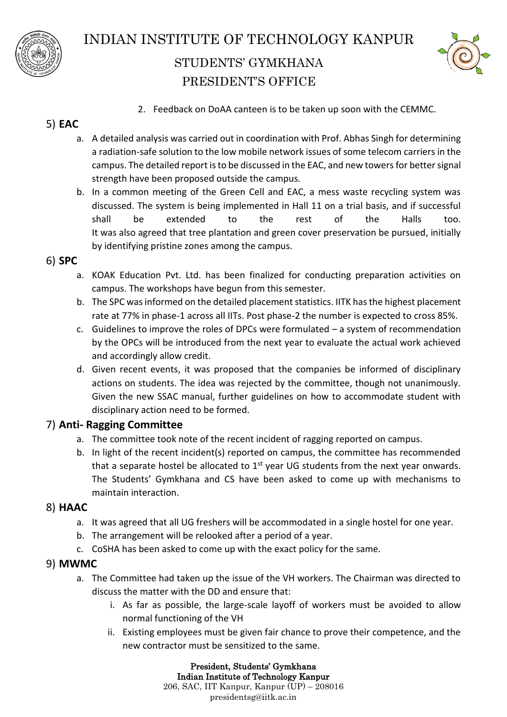



2. Feedback on DoAA canteen is to be taken up soon with the CEMMC.

### 5) **EAC**

- a. A detailed analysis was carried out in coordination with Prof. Abhas Singh for determining a radiation-safe solution to the low mobile network issues of some telecom carriers in the campus. The detailed report is to be discussed in the EAC, and new towers for better signal strength have been proposed outside the campus.
- b. In a common meeting of the Green Cell and EAC, a mess waste recycling system was discussed. The system is being implemented in Hall 11 on a trial basis, and if successful shall be extended to the rest of the Halls too. It was also agreed that tree plantation and green cover preservation be pursued, initially by identifying pristine zones among the campus.

#### 6) **SPC**

- a. KOAK Education Pvt. Ltd. has been finalized for conducting preparation activities on campus. The workshops have begun from this semester.
- b. The SPC was informed on the detailed placement statistics. IITK has the highest placement rate at 77% in phase-1 across all IITs. Post phase-2 the number is expected to cross 85%.
- c. Guidelines to improve the roles of DPCs were formulated a system of recommendation by the OPCs will be introduced from the next year to evaluate the actual work achieved and accordingly allow credit.
- d. Given recent events, it was proposed that the companies be informed of disciplinary actions on students. The idea was rejected by the committee, though not unanimously. Given the new SSAC manual, further guidelines on how to accommodate student with disciplinary action need to be formed.

#### 7) **Anti- Ragging Committee**

- a. The committee took note of the recent incident of ragging reported on campus.
- b. In light of the recent incident(s) reported on campus, the committee has recommended that a separate hostel be allocated to  $1<sup>st</sup>$  year UG students from the next year onwards. The Students' Gymkhana and CS have been asked to come up with mechanisms to maintain interaction.

#### 8) **HAAC**

- a. It was agreed that all UG freshers will be accommodated in a single hostel for one year.
- b. The arrangement will be relooked after a period of a year.
- c. CoSHA has been asked to come up with the exact policy for the same.

#### 9) **MWMC**

- a. The Committee had taken up the issue of the VH workers. The Chairman was directed to discuss the matter with the DD and ensure that:
	- i. As far as possible, the large-scale layoff of workers must be avoided to allow normal functioning of the VH
	- ii. Existing employees must be given fair chance to prove their competence, and the new contractor must be sensitized to the same.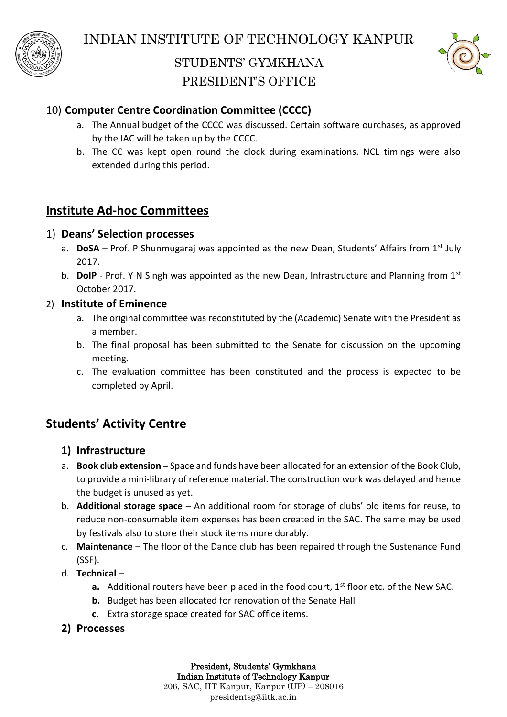



# 10) **Computer Centre Coordination Committee (CCCC)**

- a. The Annual budget of the CCCC was discussed. Certain software ourchases, as approved by the IAC will be taken up by the CCCC.
- b. The CC was kept open round the clock during examinations. NCL timings were also extended during this period.

## **Institute Ad-hoc Committees**

#### 1) **Deans' Selection processes**

- a. **DoSA** Prof. P Shunmugaraj was appointed as the new Dean, Students' Affairs from 1st July 2017.
- b. **DoIP** Prof. Y N Singh was appointed as the new Dean, Infrastructure and Planning from 1<sup>st</sup> October 2017.

#### 2) **Institute of Eminence**

- a. The original committee was reconstituted by the (Academic) Senate with the President as a member.
- b. The final proposal has been submitted to the Senate for discussion on the upcoming meeting.
- c. The evaluation committee has been constituted and the process is expected to be completed by April.

# **Students' Activity Centre**

#### **1) Infrastructure**

- a. **Book club extension** Space and funds have been allocated for an extension of the Book Club, to provide a mini-library of reference material. The construction work was delayed and hence the budget is unused as yet.
- b. **Additional storage space** An additional room for storage of clubs' old items for reuse, to reduce non-consumable item expenses has been created in the SAC. The same may be used by festivals also to store their stock items more durably.
- c. **Maintenance** The floor of the Dance club has been repaired through the Sustenance Fund (SSF).
- d. **Technical**
	- **a.** Additional routers have been placed in the food court, 1<sup>st</sup> floor etc. of the New SAC.
	- **b.** Budget has been allocated for renovation of the Senate Hall
	- **c.** Extra storage space created for SAC office items.
- **2) Processes**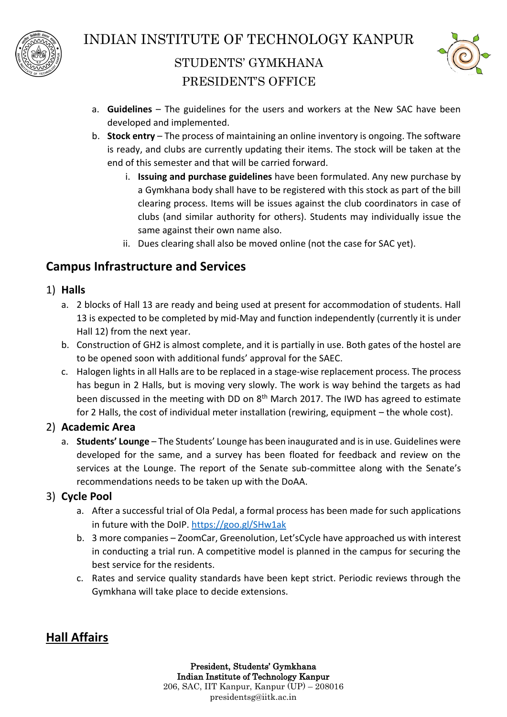



- a. **Guidelines** The guidelines for the users and workers at the New SAC have been developed and implemented.
- b. **Stock entry** The process of maintaining an online inventory is ongoing. The software is ready, and clubs are currently updating their items. The stock will be taken at the end of this semester and that will be carried forward.
	- i. **Issuing and purchase guidelines** have been formulated. Any new purchase by a Gymkhana body shall have to be registered with this stock as part of the bill clearing process. Items will be issues against the club coordinators in case of clubs (and similar authority for others). Students may individually issue the same against their own name also.
	- ii. Dues clearing shall also be moved online (not the case for SAC yet).

# **Campus Infrastructure and Services**

- 1) **Halls**
	- a. 2 blocks of Hall 13 are ready and being used at present for accommodation of students. Hall 13 is expected to be completed by mid-May and function independently (currently it is under Hall 12) from the next year.
	- b. Construction of GH2 is almost complete, and it is partially in use. Both gates of the hostel are to be opened soon with additional funds' approval for the SAEC.
	- c. Halogen lights in all Halls are to be replaced in a stage-wise replacement process. The process has begun in 2 Halls, but is moving very slowly. The work is way behind the targets as had been discussed in the meeting with DD on 8<sup>th</sup> March 2017. The IWD has agreed to estimate for 2 Halls, the cost of individual meter installation (rewiring, equipment – the whole cost).

#### 2) **Academic Area**

a. **Students' Lounge** – The Students' Lounge has been inaugurated and is in use. Guidelines were developed for the same, and a survey has been floated for feedback and review on the services at the Lounge. The report of the Senate sub-committee along with the Senate's recommendations needs to be taken up with the DoAA.

#### 3) **Cycle Pool**

- a. After a successful trial of Ola Pedal, a formal process has been made for such applications in future with the DoIP.<https://goo.gl/SHw1ak>
- b. 3 more companies ZoomCar, Greenolution, Let'sCycle have approached us with interest in conducting a trial run. A competitive model is planned in the campus for securing the best service for the residents.
- c. Rates and service quality standards have been kept strict. Periodic reviews through the Gymkhana will take place to decide extensions.

# **Hall Affairs**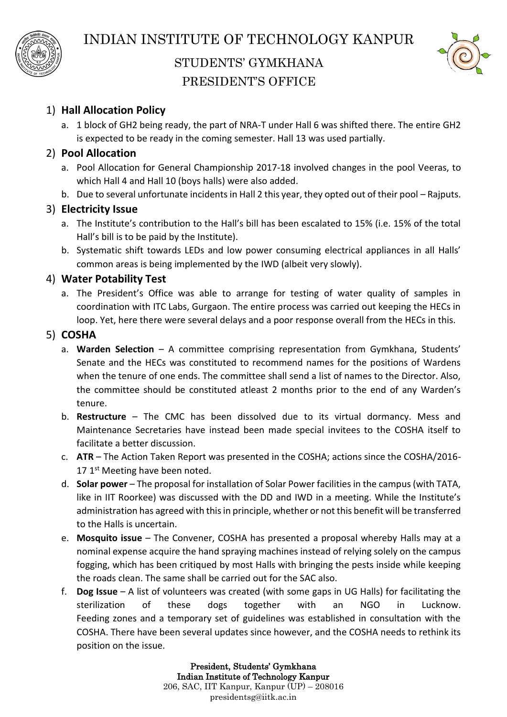



#### 1) **Hall Allocation Policy**

a. 1 block of GH2 being ready, the part of NRA-T under Hall 6 was shifted there. The entire GH2 is expected to be ready in the coming semester. Hall 13 was used partially.

#### 2) **Pool Allocation**

- a. Pool Allocation for General Championship 2017-18 involved changes in the pool Veeras, to which Hall 4 and Hall 10 (boys halls) were also added.
- b. Due to several unfortunate incidents in Hall 2 this year, they opted out of their pool Rajputs.

#### 3) **Electricity Issue**

- a. The Institute's contribution to the Hall's bill has been escalated to 15% (i.e. 15% of the total Hall's bill is to be paid by the Institute).
- b. Systematic shift towards LEDs and low power consuming electrical appliances in all Halls' common areas is being implemented by the IWD (albeit very slowly).

#### 4) **Water Potability Test**

a. The President's Office was able to arrange for testing of water quality of samples in coordination with ITC Labs, Gurgaon. The entire process was carried out keeping the HECs in loop. Yet, here there were several delays and a poor response overall from the HECs in this.

#### 5) **COSHA**

- a. **Warden Selection** A committee comprising representation from Gymkhana, Students' Senate and the HECs was constituted to recommend names for the positions of Wardens when the tenure of one ends. The committee shall send a list of names to the Director. Also, the committee should be constituted atleast 2 months prior to the end of any Warden's tenure.
- b. **Restructure** The CMC has been dissolved due to its virtual dormancy. Mess and Maintenance Secretaries have instead been made special invitees to the COSHA itself to facilitate a better discussion.
- c. **ATR** The Action Taken Report was presented in the COSHA; actions since the COSHA/2016- 17 1<sup>st</sup> Meeting have been noted.
- d. **Solar power** The proposal for installation of Solar Power facilities in the campus (with TATA, like in IIT Roorkee) was discussed with the DD and IWD in a meeting. While the Institute's administration has agreed with this in principle, whether or not this benefit will be transferred to the Halls is uncertain.
- e. **Mosquito issue** The Convener, COSHA has presented a proposal whereby Halls may at a nominal expense acquire the hand spraying machines instead of relying solely on the campus fogging, which has been critiqued by most Halls with bringing the pests inside while keeping the roads clean. The same shall be carried out for the SAC also.
- f. **Dog Issue** A list of volunteers was created (with some gaps in UG Halls) for facilitating the sterilization of these dogs together with an NGO in Lucknow. Feeding zones and a temporary set of guidelines was established in consultation with the COSHA. There have been several updates since however, and the COSHA needs to rethink its position on the issue.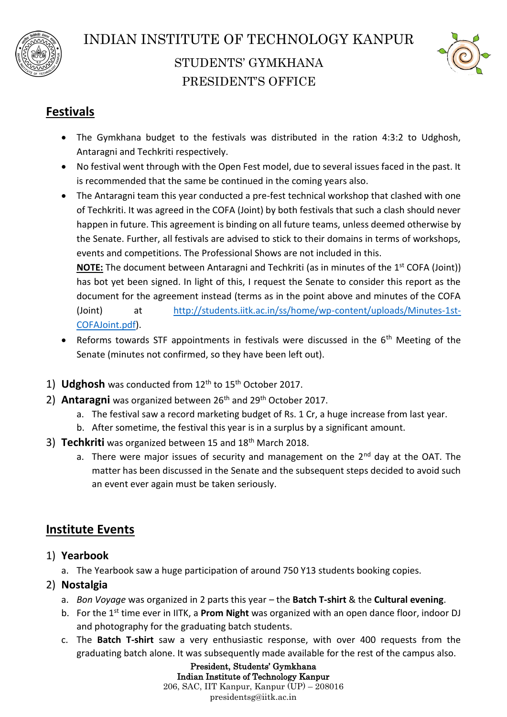



# **Festivals**

- The Gymkhana budget to the festivals was distributed in the ration 4:3:2 to Udghosh, Antaragni and Techkriti respectively.
- No festival went through with the Open Fest model, due to several issues faced in the past. It is recommended that the same be continued in the coming years also.
- The Antaragni team this year conducted a pre-fest technical workshop that clashed with one of Techkriti. It was agreed in the COFA (Joint) by both festivals that such a clash should never happen in future. This agreement is binding on all future teams, unless deemed otherwise by the Senate. Further, all festivals are advised to stick to their domains in terms of workshops, events and competitions. The Professional Shows are not included in this.

**NOTE:** The document between Antaragni and Techkriti (as in minutes of the 1<sup>st</sup> COFA (Joint)) has bot yet been signed. In light of this, I request the Senate to consider this report as the document for the agreement instead (terms as in the point above and minutes of the COFA (Joint) at [http://students.iitk.ac.in/ss/home/wp-content/uploads/Minutes-1st-](http://students.iitk.ac.in/ss/home/wp-content/uploads/Minutes-1st-COFAJoint.pdf)[COFAJoint.pdf\)](http://students.iitk.ac.in/ss/home/wp-content/uploads/Minutes-1st-COFAJoint.pdf).

- Reforms towards STF appointments in festivals were discussed in the  $6<sup>th</sup>$  Meeting of the Senate (minutes not confirmed, so they have been left out).
- 1) **Udghosh** was conducted from 12<sup>th</sup> to 15<sup>th</sup> October 2017.
- 2) **Antaragni** was organized between 26<sup>th</sup> and 29<sup>th</sup> October 2017.
	- a. The festival saw a record marketing budget of Rs. 1 Cr, a huge increase from last year.
	- b. After sometime, the festival this year is in a surplus by a significant amount.
- 3) **Techkriti** was organized between 15 and 18th March 2018.
	- a. There were major issues of security and management on the  $2^{nd}$  day at the OAT. The matter has been discussed in the Senate and the subsequent steps decided to avoid such an event ever again must be taken seriously.

# **Institute Events**

- 1) **Yearbook**
	- a. The Yearbook saw a huge participation of around 750 Y13 students booking copies.
- 2) **Nostalgia**
	- a. *Bon Voyage* was organized in 2 parts this year the **Batch T-shirt** & the **Cultural evening**.
	- b. For the 1st time ever in IITK, a **Prom Night** was organized with an open dance floor, indoor DJ and photography for the graduating batch students.
	- c. The **Batch T-shirt** saw a very enthusiastic response, with over 400 requests from the graduating batch alone. It was subsequently made available for the rest of the campus also.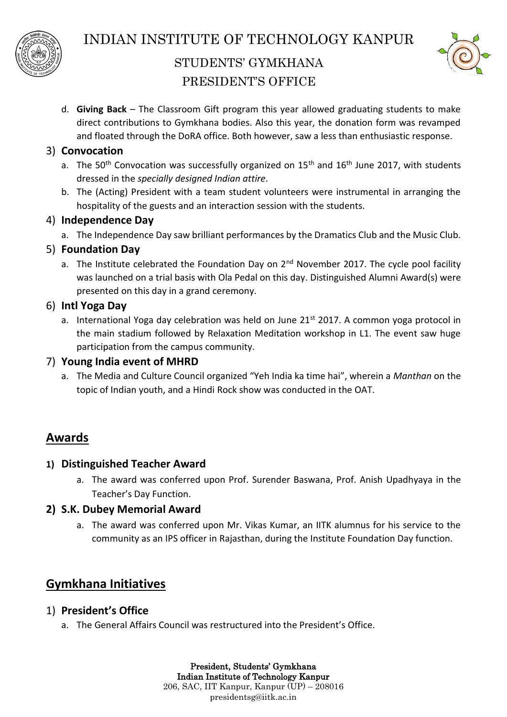



d. **Giving Back** – The Classroom Gift program this year allowed graduating students to make direct contributions to Gymkhana bodies. Also this year, the donation form was revamped and floated through the DoRA office. Both however, saw a less than enthusiastic response.

#### 3) **Convocation**

- a. The 50<sup>th</sup> Convocation was successfully organized on  $15<sup>th</sup>$  and  $16<sup>th</sup>$  June 2017, with students dressed in the *specially designed Indian attire*.
- b. The (Acting) President with a team student volunteers were instrumental in arranging the hospitality of the guests and an interaction session with the students.

#### 4) **Independence Day**

a. The Independence Day saw brilliant performances by the Dramatics Club and the Music Club.

#### 5) **Foundation Day**

a. The Institute celebrated the Foundation Day on  $2^{nd}$  November 2017. The cycle pool facility was launched on a trial basis with Ola Pedal on this day. Distinguished Alumni Award(s) were presented on this day in a grand ceremony.

#### 6) **Intl Yoga Day**

a. International Yoga day celebration was held on June  $21<sup>st</sup>$  2017. A common yoga protocol in the main stadium followed by Relaxation Meditation workshop in L1. The event saw huge participation from the campus community.

#### 7) **Young India event of MHRD**

a. The Media and Culture Council organized "Yeh India ka time hai", wherein a *Manthan* on the topic of Indian youth, and a Hindi Rock show was conducted in the OAT.

## **Awards**

#### **1) Distinguished Teacher Award**

a. The award was conferred upon Prof. Surender Baswana, Prof. Anish Upadhyaya in the Teacher's Day Function.

#### **2) S.K. Dubey Memorial Award**

a. The award was conferred upon Mr. Vikas Kumar, an IITK alumnus for his service to the community as an IPS officer in Rajasthan, during the Institute Foundation Day function.

# **Gymkhana Initiatives**

#### 1) **President's Office**

a. The General Affairs Council was restructured into the President's Office.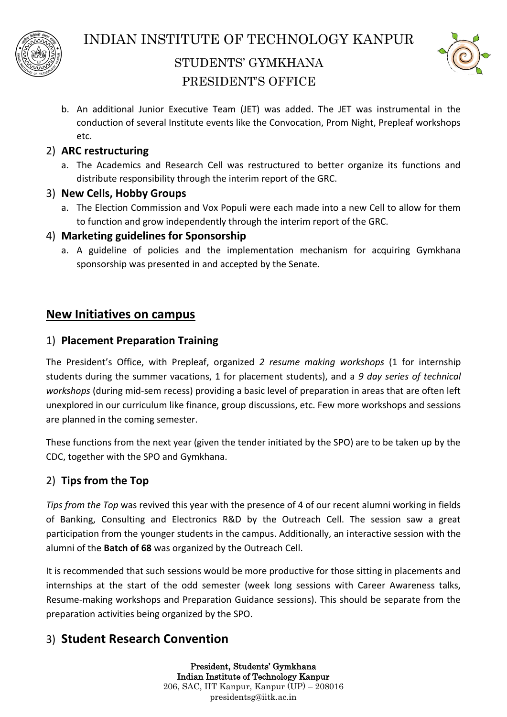



b. An additional Junior Executive Team (JET) was added. The JET was instrumental in the conduction of several Institute events like the Convocation, Prom Night, Prepleaf workshops etc.

#### 2) **ARC restructuring**

a. The Academics and Research Cell was restructured to better organize its functions and distribute responsibility through the interim report of the GRC.

#### 3) **New Cells, Hobby Groups**

a. The Election Commission and Vox Populi were each made into a new Cell to allow for them to function and grow independently through the interim report of the GRC.

#### 4) **Marketing guidelines for Sponsorship**

a. A guideline of policies and the implementation mechanism for acquiring Gymkhana sponsorship was presented in and accepted by the Senate.

#### **New Initiatives on campus**

#### 1) **Placement Preparation Training**

The President's Office, with Prepleaf, organized *2 resume making workshops* (1 for internship students during the summer vacations, 1 for placement students), and a *9 day series of technical workshops* (during mid-sem recess) providing a basic level of preparation in areas that are often left unexplored in our curriculum like finance, group discussions, etc. Few more workshops and sessions are planned in the coming semester.

These functions from the next year (given the tender initiated by the SPO) are to be taken up by the CDC, together with the SPO and Gymkhana.

#### 2) **Tips from the Top**

*Tips from the Top* was revived this year with the presence of 4 of our recent alumni working in fields of Banking, Consulting and Electronics R&D by the Outreach Cell. The session saw a great participation from the younger students in the campus. Additionally, an interactive session with the alumni of the **Batch of 68** was organized by the Outreach Cell.

It is recommended that such sessions would be more productive for those sitting in placements and internships at the start of the odd semester (week long sessions with Career Awareness talks, Resume-making workshops and Preparation Guidance sessions). This should be separate from the preparation activities being organized by the SPO.

## 3) **Student Research Convention**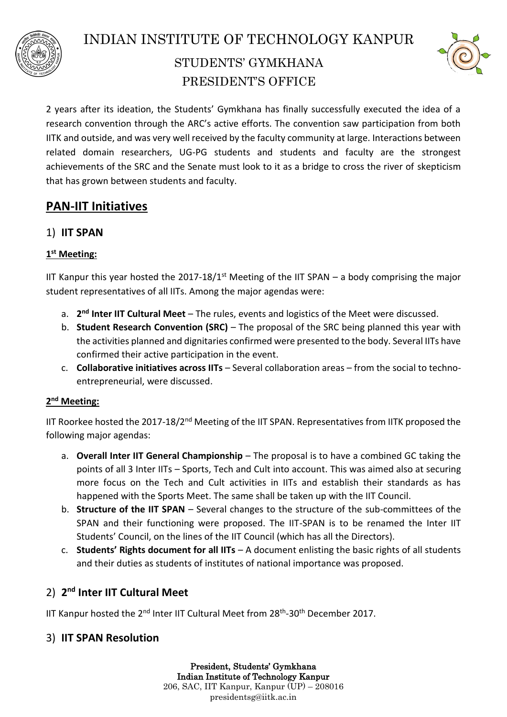



2 years after its ideation, the Students' Gymkhana has finally successfully executed the idea of a research convention through the ARC's active efforts. The convention saw participation from both IITK and outside, and was very well received by the faculty community at large. Interactions between related domain researchers, UG-PG students and students and faculty are the strongest achievements of the SRC and the Senate must look to it as a bridge to cross the river of skepticism that has grown between students and faculty.

# **PAN-IIT Initiatives**

#### 1) **IIT SPAN**

#### **1 st Meeting:**

IIT Kanpur this year hosted the 2017-18/1<sup>st</sup> Meeting of the IIT SPAN  $-$  a body comprising the major student representatives of all IITs. Among the major agendas were:

- a. 2<sup>nd</sup> Inter IIT Cultural Meet The rules, events and logistics of the Meet were discussed.
- b. **Student Research Convention (SRC)** The proposal of the SRC being planned this year with the activities planned and dignitaries confirmed were presented to the body. Several IITs have confirmed their active participation in the event.
- c. **Collaborative initiatives across IITs** Several collaboration areas from the social to technoentrepreneurial, were discussed.

#### **2 nd Meeting:**

IIT Roorkee hosted the 2017-18/2<sup>nd</sup> Meeting of the IIT SPAN. Representatives from IITK proposed the following major agendas:

- a. **Overall Inter IIT General Championship** The proposal is to have a combined GC taking the points of all 3 Inter IITs – Sports, Tech and Cult into account. This was aimed also at securing more focus on the Tech and Cult activities in IITs and establish their standards as has happened with the Sports Meet. The same shall be taken up with the IIT Council.
- b. **Structure of the IIT SPAN** Several changes to the structure of the sub-committees of the SPAN and their functioning were proposed. The IIT-SPAN is to be renamed the Inter IIT Students' Council, on the lines of the IIT Council (which has all the Directors).
- c. **Students' Rights document for all IITs** A document enlisting the basic rights of all students and their duties as students of institutes of national importance was proposed.

## 2) **2 nd Inter IIT Cultural Meet**

IIT Kanpur hosted the  $2^{nd}$  Inter IIT Cultural Meet from  $28^{th}$ -30<sup>th</sup> December 2017.

#### 3) **IIT SPAN Resolution**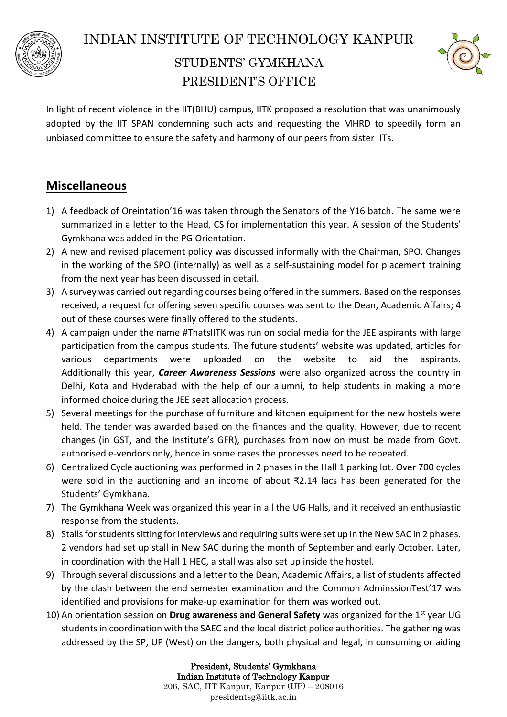



In light of recent violence in the IIT(BHU) campus, IITK proposed a resolution that was unanimously adopted by the IIT SPAN condemning such acts and requesting the MHRD to speedily form an unbiased committee to ensure the safety and harmony of our peers from sister IITs.

# **Miscellaneous**

- 1) A feedback of Oreintation'16 was taken through the Senators of the Y16 batch. The same were summarized in a letter to the Head, CS for implementation this year. A session of the Students' Gymkhana was added in the PG Orientation.
- 2) A new and revised placement policy was discussed informally with the Chairman, SPO. Changes in the working of the SPO (internally) as well as a self-sustaining model for placement training from the next year has been discussed in detail.
- 3) A survey was carried out regarding courses being offered in the summers. Based on the responses received, a request for offering seven specific courses was sent to the Dean, Academic Affairs; 4 out of these courses were finally offered to the students.
- 4) A campaign under the name #ThatsIITK was run on social media for the JEE aspirants with large participation from the campus students. The future students' website was updated, articles for various departments were uploaded on the website to aid the aspirants. Additionally this year, *Career Awareness Sessions* were also organized across the country in Delhi, Kota and Hyderabad with the help of our alumni, to help students in making a more informed choice during the JEE seat allocation process.
- 5) Several meetings for the purchase of furniture and kitchen equipment for the new hostels were held. The tender was awarded based on the finances and the quality. However, due to recent changes (in GST, and the Institute's GFR), purchases from now on must be made from Govt. authorised e-vendors only, hence in some cases the processes need to be repeated.
- 6) Centralized Cycle auctioning was performed in 2 phases in the Hall 1 parking lot. Over 700 cycles were sold in the auctioning and an income of about ₹2.14 lacs has been generated for the Students' Gymkhana.
- 7) The Gymkhana Week was organized this year in all the UG Halls, and it received an enthusiastic response from the students.
- 8) Stalls for students sitting for interviews and requiring suits were set up in the New SAC in 2 phases. 2 vendors had set up stall in New SAC during the month of September and early October. Later, in coordination with the Hall 1 HEC, a stall was also set up inside the hostel.
- 9) Through several discussions and a letter to the Dean, Academic Affairs, a list of students affected by the clash between the end semester examination and the Common AdminssionTest'17 was identified and provisions for make-up examination for them was worked out.
- 10) An orientation session on **Drug awareness and General Safety** was organized for the 1st year UG students in coordination with the SAEC and the local district police authorities. The gathering was addressed by the SP, UP (West) on the dangers, both physical and legal, in consuming or aiding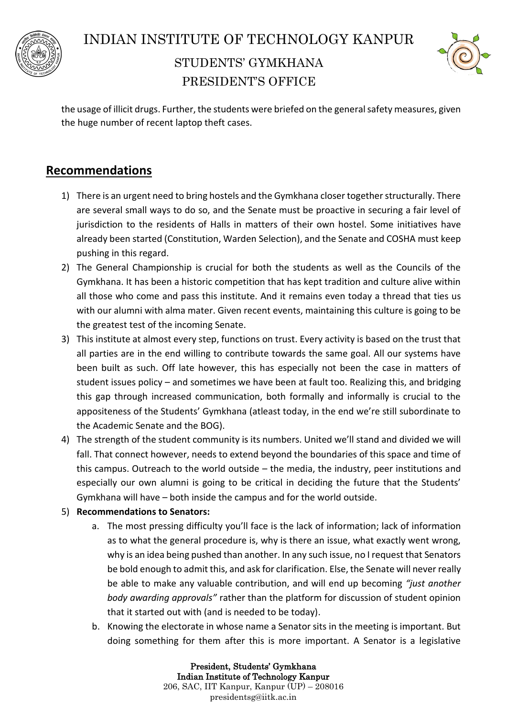



the usage of illicit drugs. Further, the students were briefed on the general safety measures, given the huge number of recent laptop theft cases.

## **Recommendations**

- 1) There is an urgent need to bring hostels and the Gymkhana closer together structurally. There are several small ways to do so, and the Senate must be proactive in securing a fair level of jurisdiction to the residents of Halls in matters of their own hostel. Some initiatives have already been started (Constitution, Warden Selection), and the Senate and COSHA must keep pushing in this regard.
- 2) The General Championship is crucial for both the students as well as the Councils of the Gymkhana. It has been a historic competition that has kept tradition and culture alive within all those who come and pass this institute. And it remains even today a thread that ties us with our alumni with alma mater. Given recent events, maintaining this culture is going to be the greatest test of the incoming Senate.
- 3) This institute at almost every step, functions on trust. Every activity is based on the trust that all parties are in the end willing to contribute towards the same goal. All our systems have been built as such. Off late however, this has especially not been the case in matters of student issues policy – and sometimes we have been at fault too. Realizing this, and bridging this gap through increased communication, both formally and informally is crucial to the appositeness of the Students' Gymkhana (atleast today, in the end we're still subordinate to the Academic Senate and the BOG).
- 4) The strength of the student community is its numbers. United we'll stand and divided we will fall. That connect however, needs to extend beyond the boundaries of this space and time of this campus. Outreach to the world outside – the media, the industry, peer institutions and especially our own alumni is going to be critical in deciding the future that the Students' Gymkhana will have – both inside the campus and for the world outside.
- 5) **Recommendations to Senators:**
	- a. The most pressing difficulty you'll face is the lack of information; lack of information as to what the general procedure is, why is there an issue, what exactly went wrong, why is an idea being pushed than another. In any such issue, no I request that Senators be bold enough to admit this, and ask for clarification. Else, the Senate will never really be able to make any valuable contribution, and will end up becoming *"just another body awarding approvals"* rather than the platform for discussion of student opinion that it started out with (and is needed to be today).
	- b. Knowing the electorate in whose name a Senator sits in the meeting is important. But doing something for them after this is more important. A Senator is a legislative